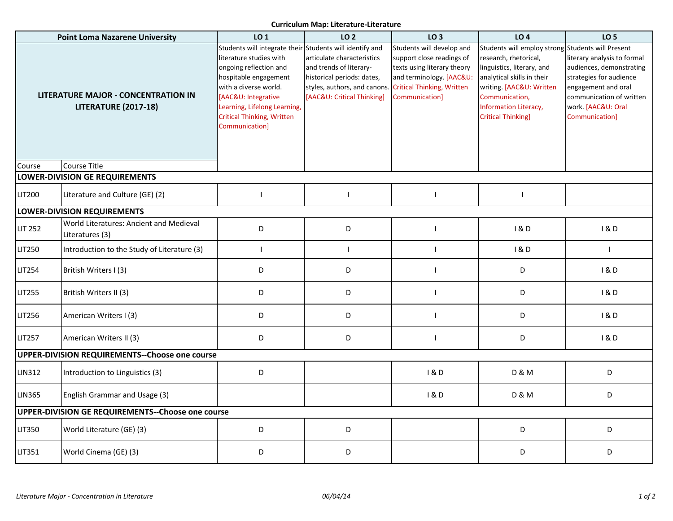## **Curriculum Map: Literature-Literature**

| <b>Point Loma Nazarene University</b>                                     |                                                            | LO 1                                                                                                                                                                                                                                                                          | <b>LO 2</b>                                                                                                                                       | LO <sub>3</sub>                                                                                                                                                          | LO <sub>4</sub>                                                                                                                                                                                                      | <b>LO 5</b>                                                                                                                                                                                            |  |  |  |
|---------------------------------------------------------------------------|------------------------------------------------------------|-------------------------------------------------------------------------------------------------------------------------------------------------------------------------------------------------------------------------------------------------------------------------------|---------------------------------------------------------------------------------------------------------------------------------------------------|--------------------------------------------------------------------------------------------------------------------------------------------------------------------------|----------------------------------------------------------------------------------------------------------------------------------------------------------------------------------------------------------------------|--------------------------------------------------------------------------------------------------------------------------------------------------------------------------------------------------------|--|--|--|
| <b>LITERATURE MAJOR - CONCENTRATION IN</b><br><b>LITERATURE (2017-18)</b> |                                                            | Students will integrate their Students will identify and<br>literature studies with<br>ongoing reflection and<br>hospitable engagement<br>with a diverse world.<br>[AAC&U: Integrative<br>Learning, Lifelong Learning,<br><b>Critical Thinking, Written</b><br>Communication] | articulate characteristics<br>and trends of literary-<br>historical periods: dates,<br>styles, authors, and canons.<br>[AAC&U: Critical Thinking] | Students will develop and<br>support close readings of<br>texts using literary theory<br>and terminology. [AAC&U:<br><b>Critical Thinking, Written</b><br>Communication] | Students will employ strong<br>research, rhetorical,<br>linguistics, literary, and<br>analytical skills in their<br>writing. [AAC&U: Written<br>Communication,<br>Information Literacy,<br><b>Critical Thinking]</b> | Students will Present<br>literary analysis to formal<br>audiences, demonstrating<br>strategies for audience<br>engagement and oral<br>communication of written<br>work. [AAC&U: Oral<br>Communication] |  |  |  |
| Course                                                                    | Course Title                                               |                                                                                                                                                                                                                                                                               |                                                                                                                                                   |                                                                                                                                                                          |                                                                                                                                                                                                                      |                                                                                                                                                                                                        |  |  |  |
| LOWER-DIVISION GE REQUIREMENTS                                            |                                                            |                                                                                                                                                                                                                                                                               |                                                                                                                                                   |                                                                                                                                                                          |                                                                                                                                                                                                                      |                                                                                                                                                                                                        |  |  |  |
| <b>LIT200</b>                                                             | Literature and Culture (GE) (2)                            | $\overline{1}$                                                                                                                                                                                                                                                                | ı                                                                                                                                                 |                                                                                                                                                                          |                                                                                                                                                                                                                      |                                                                                                                                                                                                        |  |  |  |
| <b>LOWER-DIVISION REQUIREMENTS</b>                                        |                                                            |                                                                                                                                                                                                                                                                               |                                                                                                                                                   |                                                                                                                                                                          |                                                                                                                                                                                                                      |                                                                                                                                                                                                        |  |  |  |
| <b>LIT 252</b>                                                            | World Literatures: Ancient and Medieval<br>Literatures (3) | D                                                                                                                                                                                                                                                                             | D                                                                                                                                                 |                                                                                                                                                                          | 1&0                                                                                                                                                                                                                  | 1&0                                                                                                                                                                                                    |  |  |  |
| <b>LIT250</b>                                                             | Introduction to the Study of Literature (3)                | $\overline{1}$                                                                                                                                                                                                                                                                | L                                                                                                                                                 |                                                                                                                                                                          | 1&0                                                                                                                                                                                                                  | $\blacksquare$                                                                                                                                                                                         |  |  |  |
| <b>LIT254</b>                                                             | British Writers I (3)                                      | D                                                                                                                                                                                                                                                                             | D                                                                                                                                                 |                                                                                                                                                                          | D                                                                                                                                                                                                                    | 1&0                                                                                                                                                                                                    |  |  |  |
| LIT255                                                                    | British Writers II (3)                                     | D                                                                                                                                                                                                                                                                             | D                                                                                                                                                 |                                                                                                                                                                          | D                                                                                                                                                                                                                    | 1&0                                                                                                                                                                                                    |  |  |  |
| LIT256                                                                    | American Writers I (3)                                     | D                                                                                                                                                                                                                                                                             | D                                                                                                                                                 |                                                                                                                                                                          | D                                                                                                                                                                                                                    | 1&0                                                                                                                                                                                                    |  |  |  |
| <b>LIT257</b>                                                             | American Writers II (3)                                    | D                                                                                                                                                                                                                                                                             | D                                                                                                                                                 |                                                                                                                                                                          | D                                                                                                                                                                                                                    | 1&0                                                                                                                                                                                                    |  |  |  |
| UPPER-DIVISION REQUIREMENTS--Choose one course                            |                                                            |                                                                                                                                                                                                                                                                               |                                                                                                                                                   |                                                                                                                                                                          |                                                                                                                                                                                                                      |                                                                                                                                                                                                        |  |  |  |
| LIN312                                                                    | Introduction to Linguistics (3)                            | D                                                                                                                                                                                                                                                                             |                                                                                                                                                   | 1&0                                                                                                                                                                      | <b>D &amp; M</b>                                                                                                                                                                                                     | D                                                                                                                                                                                                      |  |  |  |
| <b>LIN365</b>                                                             | English Grammar and Usage (3)                              |                                                                                                                                                                                                                                                                               |                                                                                                                                                   | 1&0                                                                                                                                                                      | <b>D &amp; M</b>                                                                                                                                                                                                     | D                                                                                                                                                                                                      |  |  |  |
| UPPER-DIVISION GE REQUIREMENTS--Choose one course                         |                                                            |                                                                                                                                                                                                                                                                               |                                                                                                                                                   |                                                                                                                                                                          |                                                                                                                                                                                                                      |                                                                                                                                                                                                        |  |  |  |
| LIT350                                                                    | World Literature (GE) (3)                                  | D                                                                                                                                                                                                                                                                             | D                                                                                                                                                 |                                                                                                                                                                          | D                                                                                                                                                                                                                    | D                                                                                                                                                                                                      |  |  |  |
| LIT351                                                                    | World Cinema (GE) (3)                                      | D                                                                                                                                                                                                                                                                             | D                                                                                                                                                 |                                                                                                                                                                          | D                                                                                                                                                                                                                    | D                                                                                                                                                                                                      |  |  |  |